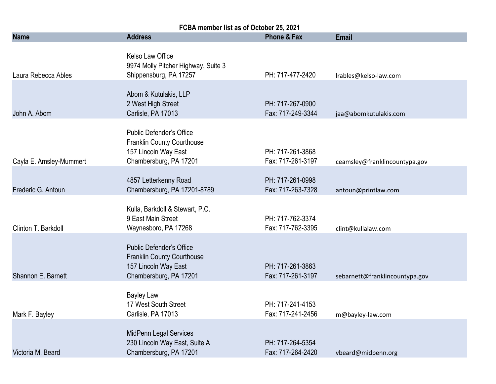| FCBA member list as of October 25, 2021 |                                                                                                                        |                                       |                                |  |
|-----------------------------------------|------------------------------------------------------------------------------------------------------------------------|---------------------------------------|--------------------------------|--|
| <b>Name</b>                             | <b>Address</b>                                                                                                         | <b>Phone &amp; Fax</b>                | <b>Email</b>                   |  |
| Laura Rebecca Ables                     | Kelso Law Office<br>9974 Molly Pitcher Highway, Suite 3<br>Shippensburg, PA 17257                                      | PH: 717-477-2420                      | Irables@kelso-law.com          |  |
| John A. Abom                            | Abom & Kutulakis, LLP<br>2 West High Street<br>Carlisle, PA 17013                                                      | PH: 717-267-0900<br>Fax: 717-249-3344 | jaa@abomkutulakis.com          |  |
| Cayla E. Amsley-Mummert                 | <b>Public Defender's Office</b><br><b>Franklin County Courthouse</b><br>157 Lincoln Way East<br>Chambersburg, PA 17201 | PH: 717-261-3868<br>Fax: 717-261-3197 | ceamsley@franklincountypa.gov  |  |
| Frederic G. Antoun                      | 4857 Letterkenny Road<br>Chambersburg, PA 17201-8789                                                                   | PH: 717-261-0998<br>Fax: 717-263-7328 | antoun@printlaw.com            |  |
| Clinton T. Barkdoll                     | Kulla, Barkdoll & Stewart, P.C.<br>9 East Main Street<br>Waynesboro, PA 17268                                          | PH: 717-762-3374<br>Fax: 717-762-3395 | clint@kullalaw.com             |  |
| Shannon E. Barnett                      | <b>Public Defender's Office</b><br>Franklin County Courthouse<br>157 Lincoln Way East<br>Chambersburg, PA 17201        | PH: 717-261-3863<br>Fax: 717-261-3197 | sebarnett@franklincountypa.gov |  |
| Mark F. Bayley                          | <b>Bayley Law</b><br>17 West South Street<br>Carlisle, PA 17013                                                        | PH: 717-241-4153<br>Fax: 717-241-2456 | m@bayley-law.com               |  |
| Victoria M. Beard                       | MidPenn Legal Services<br>230 Lincoln Way East, Suite A<br>Chambersburg, PA 17201                                      | PH: 717-264-5354<br>Fax: 717-264-2420 | vbeard@midpenn.org             |  |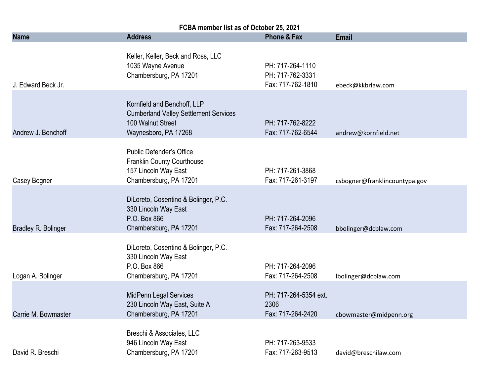| FCBA member list as of October 25, 2021 |                                                                                                                          |                                                           |                               |  |
|-----------------------------------------|--------------------------------------------------------------------------------------------------------------------------|-----------------------------------------------------------|-------------------------------|--|
| <b>Name</b>                             | <b>Address</b>                                                                                                           | Phone & Fax                                               | <b>Email</b>                  |  |
| J. Edward Beck Jr.                      | Keller, Keller, Beck and Ross, LLC<br>1035 Wayne Avenue<br>Chambersburg, PA 17201                                        | PH: 717-264-1110<br>PH: 717-762-3331<br>Fax: 717-762-1810 | ebeck@kkbrlaw.com             |  |
| Andrew J. Benchoff                      | Kornfield and Benchoff, LLP<br><b>Cumberland Valley Settlement Services</b><br>100 Walnut Street<br>Waynesboro, PA 17268 | PH: 717-762-8222<br>Fax: 717-762-6544                     | andrew@kornfield.net          |  |
| Casey Bogner                            | Public Defender's Office<br>Franklin County Courthouse<br>157 Lincoln Way East<br>Chambersburg, PA 17201                 | PH: 717-261-3868<br>Fax: 717-261-3197                     | csbogner@franklincountypa.gov |  |
| Bradley R. Bolinger                     | DiLoreto, Cosentino & Bolinger, P.C.<br>330 Lincoln Way East<br>P.O. Box 866<br>Chambersburg, PA 17201                   | PH: 717-264-2096<br>Fax: 717-264-2508                     | bbolinger@dcblaw.com          |  |
| Logan A. Bolinger                       | DiLoreto, Cosentino & Bolinger, P.C.<br>330 Lincoln Way East<br>P.O. Box 866<br>Chambersburg, PA 17201                   | PH: 717-264-2096<br>Fax: 717-264-2508                     | lbolinger@dcblaw.com          |  |
| Carrie M. Bowmaster                     | <b>MidPenn Legal Services</b><br>230 Lincoln Way East, Suite A<br>Chambersburg, PA 17201                                 | PH: 717-264-5354 ext.<br>2306<br>Fax: 717-264-2420        | cbowmaster@midpenn.org        |  |
| David R. Breschi                        | Breschi & Associates, LLC<br>946 Lincoln Way East<br>Chambersburg, PA 17201                                              | PH: 717-263-9533<br>Fax: 717-263-9513                     | david@breschilaw.com          |  |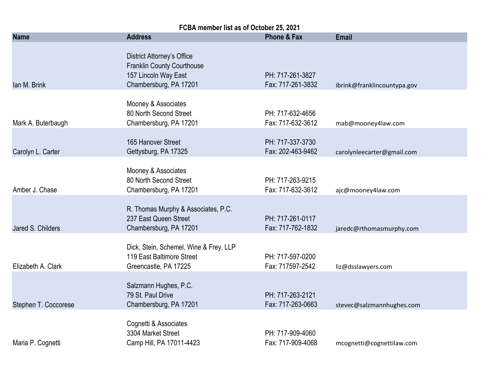| FCBA member list as of October 25, 2021 |                                                                                                                          |                                       |                             |  |
|-----------------------------------------|--------------------------------------------------------------------------------------------------------------------------|---------------------------------------|-----------------------------|--|
| <b>Name</b>                             | <b>Address</b>                                                                                                           | <b>Phone &amp; Fax</b>                | <b>Email</b>                |  |
| Ian M. Brink                            | <b>District Attorney's Office</b><br><b>Franklin County Courthouse</b><br>157 Lincoln Way East<br>Chambersburg, PA 17201 | PH: 717-261-3827<br>Fax: 717-261-3832 | ibrink@franklincountypa.gov |  |
| Mark A. Buterbaugh                      | Mooney & Associates<br>80 North Second Street<br>Chambersburg, PA 17201                                                  | PH: 717-632-4656<br>Fax: 717-632-3612 | mab@mooney4law.com          |  |
| Carolyn L. Carter                       | 165 Hanover Street<br>Gettysburg, PA 17325                                                                               | PH: 717-337-3730<br>Fax: 202-463-9462 | carolynleecarter@gmail.com  |  |
| Amber J. Chase                          | Mooney & Associates<br>80 North Second Street<br>Chambersburg, PA 17201                                                  | PH: 717-263-9215<br>Fax: 717-632-3612 | ajc@mooney4law.com          |  |
| Jared S. Childers                       | R. Thomas Murphy & Associates, P.C.<br>237 East Queen Street<br>Chambersburg, PA 17201                                   | PH: 717-261-0117<br>Fax: 717-762-1832 | jaredc@rthomasmurphy.com    |  |
| Elizabeth A. Clark                      | Dick, Stein, Schemel, Wine & Frey, LLP<br>119 East Baltimore Street<br>Greencastle, PA 17225                             | PH: 717-597-0200<br>Fax: 717597-2542  | liz@dsslawyers.com          |  |
| Stephen T. Coccorese                    | Salzmann Hughes, P.C.<br>79 St. Paul Drive<br>Chambersburg, PA 17201                                                     | PH: 717-263-2121<br>Fax: 717-263-0663 | stevec@salzmannhughes.com   |  |
| Maria P. Cognetti                       | Cognetti & Associates<br>3304 Market Street<br>Camp Hill, PA 17011-4423                                                  | PH: 717-909-4060<br>Fax: 717-909-4068 | mcognetti@cognettilaw.com   |  |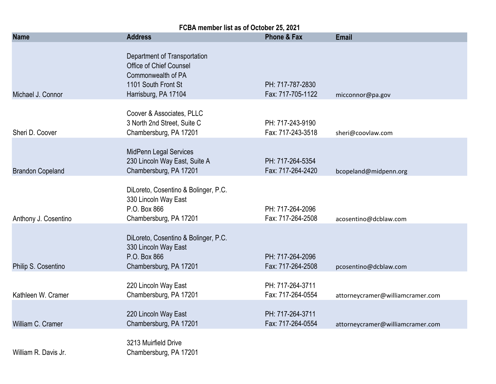| FCBA member list as of October 25, 2021 |                                                                                                                                     |                                       |                                  |
|-----------------------------------------|-------------------------------------------------------------------------------------------------------------------------------------|---------------------------------------|----------------------------------|
| <b>Name</b>                             | <b>Address</b>                                                                                                                      | <b>Phone &amp; Fax</b>                | <b>Email</b>                     |
| Michael J. Connor                       | Department of Transportation<br><b>Office of Chief Counsel</b><br>Commonwealth of PA<br>1101 South Front St<br>Harrisburg, PA 17104 | PH: 717-787-2830<br>Fax: 717-705-1122 | micconnor@pa.gov                 |
| Sheri D. Coover                         | Coover & Associates, PLLC<br>3 North 2nd Street, Suite C<br>Chambersburg, PA 17201                                                  | PH: 717-243-9190<br>Fax: 717-243-3518 | sheri@coovlaw.com                |
| <b>Brandon Copeland</b>                 | MidPenn Legal Services<br>230 Lincoln Way East, Suite A<br>Chambersburg, PA 17201                                                   | PH: 717-264-5354<br>Fax: 717-264-2420 | bcopeland@midpenn.org            |
| Anthony J. Cosentino                    | DiLoreto, Cosentino & Bolinger, P.C.<br>330 Lincoln Way East<br>P.O. Box 866<br>Chambersburg, PA 17201                              | PH: 717-264-2096<br>Fax: 717-264-2508 | acosentino@dcblaw.com            |
| Philip S. Cosentino                     | DiLoreto, Cosentino & Bolinger, P.C.<br>330 Lincoln Way East<br>P.O. Box 866<br>Chambersburg, PA 17201                              | PH: 717-264-2096<br>Fax: 717-264-2508 | pcosentino@dcblaw.com            |
| Kathleen W. Cramer                      | 220 Lincoln Way East<br>Chambersburg, PA 17201                                                                                      | PH: 717-264-3711<br>Fax: 717-264-0554 | attorneycramer@williamcramer.com |
| William C. Cramer                       | 220 Lincoln Way East<br>Chambersburg, PA 17201                                                                                      | PH: 717-264-3711<br>Fax: 717-264-0554 | attorneycramer@williamcramer.com |
| William R. Davis Jr.                    | 3213 Muirfield Drive<br>Chambersburg, PA 17201                                                                                      |                                       |                                  |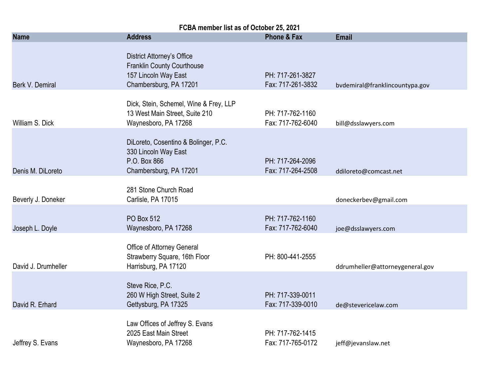| FCBA member list as of October 25, 2021 |                                                                                                                          |                                       |                                 |  |
|-----------------------------------------|--------------------------------------------------------------------------------------------------------------------------|---------------------------------------|---------------------------------|--|
| <b>Name</b>                             | <b>Address</b>                                                                                                           | Phone & Fax                           | <b>Email</b>                    |  |
| Berk V. Demiral                         | <b>District Attorney's Office</b><br><b>Franklin County Courthouse</b><br>157 Lincoln Way East<br>Chambersburg, PA 17201 | PH: 717-261-3827<br>Fax: 717-261-3832 | bvdemiral@franklincountypa.gov  |  |
| William S. Dick                         | Dick, Stein, Schemel, Wine & Frey, LLP<br>13 West Main Street, Suite 210<br>Waynesboro, PA 17268                         | PH: 717-762-1160<br>Fax: 717-762-6040 | bill@dsslawyers.com             |  |
| Denis M. DiLoreto                       | DiLoreto, Cosentino & Bolinger, P.C.<br>330 Lincoln Way East<br>P.O. Box 866<br>Chambersburg, PA 17201                   | PH: 717-264-2096<br>Fax: 717-264-2508 | ddiloreto@comcast.net           |  |
| Beverly J. Doneker                      | 281 Stone Church Road<br>Carlisle, PA 17015                                                                              |                                       | doneckerbev@gmail.com           |  |
| Joseph L. Doyle                         | <b>PO Box 512</b><br>Waynesboro, PA 17268                                                                                | PH: 717-762-1160<br>Fax: 717-762-6040 | joe@dsslawyers.com              |  |
| David J. Drumheller                     | Office of Attorney General<br>Strawberry Square, 16th Floor<br>Harrisburg, PA 17120                                      | PH: 800-441-2555                      | ddrumheller@attorneygeneral.gov |  |
| David R. Erhard                         | Steve Rice, P.C.<br>260 W High Street, Suite 2<br>Gettysburg, PA 17325                                                   | PH: 717-339-0011<br>Fax: 717-339-0010 | de@stevericelaw.com             |  |
| Jeffrey S. Evans                        | Law Offices of Jeffrey S. Evans<br>2025 East Main Street<br>Waynesboro, PA 17268                                         | PH: 717-762-1415<br>Fax: 717-765-0172 | jeff@jevanslaw.net              |  |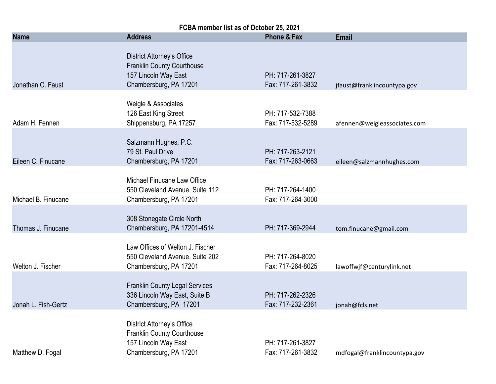| FCBA member list as of October 25, 2021 |                                                                                                                          |                                       |                              |
|-----------------------------------------|--------------------------------------------------------------------------------------------------------------------------|---------------------------------------|------------------------------|
| <b>Name</b>                             | <b>Address</b>                                                                                                           | <b>Phone &amp; Fax</b>                | <b>Email</b>                 |
| Jonathan C. Faust                       | <b>District Attorney's Office</b><br><b>Franklin County Courthouse</b><br>157 Lincoln Way East<br>Chambersburg, PA 17201 | PH: 717-261-3827<br>Fax: 717-261-3832 | jfaust@franklincountypa.gov  |
| Adam H. Fennen                          | Weigle & Associates<br>126 East King Street<br>Shippensburg, PA 17257                                                    | PH: 717-532-7388<br>Fax: 717-532-5289 | afennen@weigleassociates.com |
| Eileen C. Finucane                      | Salzmann Hughes, P.C.<br>79 St. Paul Drive<br>Chambersburg, PA 17201                                                     | PH: 717-263-2121<br>Fax: 717-263-0663 | eileen@salzmannhughes.com    |
| Michael B. Finucane                     | Michael Finucane Law Office<br>550 Cleveland Avenue, Suite 112<br>Chambersburg, PA 17201                                 | PH: 717-264-1400<br>Fax: 717-264-3000 |                              |
| Thomas J. Finucane                      | 308 Stonegate Circle North<br>Chambersburg, PA 17201-4514                                                                | PH: 717-369-2944                      | tom.finucane@gmail.com       |
| Welton J. Fischer                       | Law Offices of Welton J. Fischer<br>550 Cleveland Avenue, Suite 202<br>Chambersburg, PA 17201                            | PH: 717-264-8020<br>Fax: 717-264-8025 | lawoffwjf@centurylink.net    |
| Jonah L. Fish-Gertz                     | <b>Franklin County Legal Services</b><br>336 Lincoln Way East, Suite B<br>Chambersburg, PA 17201                         | PH: 717-262-2326<br>Fax: 717-232-2361 | jonah@fcls.net               |
| Matthew D. Fogal                        | <b>District Attorney's Office</b><br><b>Franklin County Courthouse</b><br>157 Lincoln Way East<br>Chambersburg, PA 17201 | PH: 717-261-3827<br>Fax: 717-261-3832 | mdfogal@franklincountypa.gov |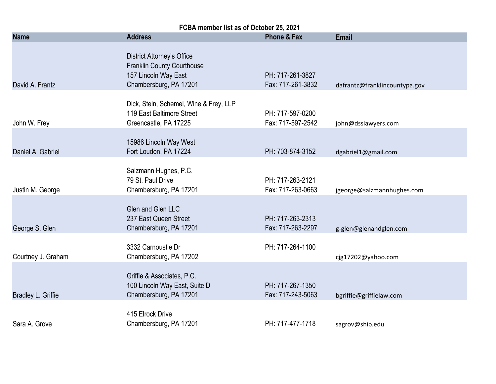| FCBA member list as of October 25, 2021 |                                                                                                                          |                                       |                               |  |
|-----------------------------------------|--------------------------------------------------------------------------------------------------------------------------|---------------------------------------|-------------------------------|--|
| <b>Name</b>                             | <b>Address</b>                                                                                                           | <b>Phone &amp; Fax</b>                | <b>Email</b>                  |  |
| David A. Frantz                         | <b>District Attorney's Office</b><br><b>Franklin County Courthouse</b><br>157 Lincoln Way East<br>Chambersburg, PA 17201 | PH: 717-261-3827<br>Fax: 717-261-3832 | dafrantz@franklincountypa.gov |  |
| John W. Frey                            | Dick, Stein, Schemel, Wine & Frey, LLP<br>119 East Baltimore Street<br>Greencastle, PA 17225                             | PH: 717-597-0200<br>Fax: 717-597-2542 | john@dsslawyers.com           |  |
| Daniel A. Gabriel                       | 15986 Lincoln Way West<br>Fort Loudon, PA 17224                                                                          | PH: 703-874-3152                      | dgabriel1@gmail.com           |  |
| Justin M. George                        | Salzmann Hughes, P.C.<br>79 St. Paul Drive<br>Chambersburg, PA 17201                                                     | PH: 717-263-2121<br>Fax: 717-263-0663 | jgeorge@salzmannhughes.com    |  |
| George S. Glen                          | Glen and Glen LLC<br>237 East Queen Street<br>Chambersburg, PA 17201                                                     | PH: 717-263-2313<br>Fax: 717-263-2297 | g-glen@glenandglen.com        |  |
| Courtney J. Graham                      | 3332 Carnoustie Dr<br>Chambersburg, PA 17202                                                                             | PH: 717-264-1100                      | cjg17202@yahoo.com            |  |
| Bradley L. Griffie                      | Griffie & Associates, P.C.<br>100 Lincoln Way East, Suite D<br>Chambersburg, PA 17201                                    | PH: 717-267-1350<br>Fax: 717-243-5063 | bgriffie@griffielaw.com       |  |
| Sara A. Grove                           | 415 Elrock Drive<br>Chambersburg, PA 17201                                                                               | PH: 717-477-1718                      | sagrov@ship.edu               |  |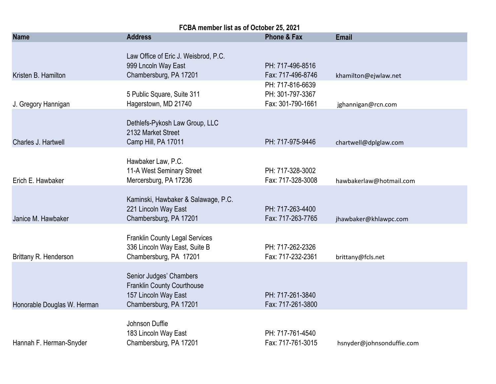| FCBA member list as of October 25, 2021 |                                                                                                                |                                                           |                           |  |
|-----------------------------------------|----------------------------------------------------------------------------------------------------------------|-----------------------------------------------------------|---------------------------|--|
| <b>Name</b>                             | <b>Address</b>                                                                                                 | <b>Phone &amp; Fax</b>                                    | <b>Email</b>              |  |
| Kristen B. Hamilton                     | Law Office of Eric J. Weisbrod, P.C.<br>999 Lncoln Way East<br>Chambersburg, PA 17201                          | PH: 717-496-8516<br>Fax: 717-496-8746                     | khamilton@ejwlaw.net      |  |
| J. Gregory Hannigan                     | 5 Public Square, Suite 311<br>Hagerstown, MD 21740                                                             | PH: 717-816-6639<br>PH: 301-797-3367<br>Fax: 301-790-1661 | jghannigan@rcn.com        |  |
| Charles J. Hartwell                     | Dethlefs-Pykosh Law Group, LLC<br>2132 Market Street<br>Camp Hill, PA 17011                                    | PH: 717-975-9446                                          | chartwell@dplglaw.com     |  |
| Erich E. Hawbaker                       | Hawbaker Law, P.C.<br>11-A West Seminary Street<br>Mercersburg, PA 17236                                       | PH: 717-328-3002<br>Fax: 717-328-3008                     | hawbakerlaw@hotmail.com   |  |
| Janice M. Hawbaker                      | Kaminski, Hawbaker & Salawage, P.C.<br>221 Lincoln Way East<br>Chambersburg, PA 17201                          | PH: 717-263-4400<br>Fax: 717-263-7765                     | jhawbaker@khlawpc.com     |  |
| Brittany R. Henderson                   | <b>Franklin County Legal Services</b><br>336 Lincoln Way East, Suite B<br>Chambersburg, PA 17201               | PH: 717-262-2326<br>Fax: 717-232-2361                     | brittany@fcls.net         |  |
| Honorable Douglas W. Herman             | Senior Judges' Chambers<br><b>Franklin County Courthouse</b><br>157 Lincoln Way East<br>Chambersburg, PA 17201 | PH: 717-261-3840<br>Fax: 717-261-3800                     |                           |  |
| Hannah F. Herman-Snyder                 | Johnson Duffie<br>183 Lincoln Way East<br>Chambersburg, PA 17201                                               | PH: 717-761-4540<br>Fax: 717-761-3015                     | hsnyder@johnsonduffie.com |  |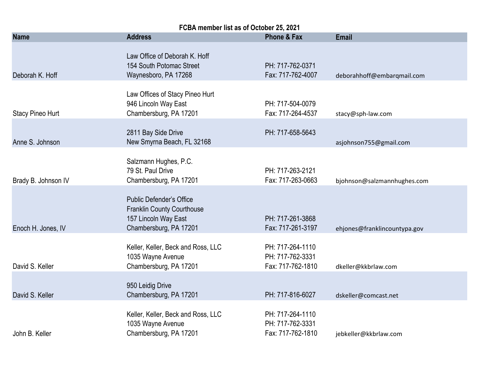| FCBA member list as of October 25, 2021 |                                                                                                                        |                                                           |                              |  |
|-----------------------------------------|------------------------------------------------------------------------------------------------------------------------|-----------------------------------------------------------|------------------------------|--|
| <b>Name</b>                             | <b>Address</b>                                                                                                         | <b>Phone &amp; Fax</b>                                    | <b>Email</b>                 |  |
| Deborah K. Hoff                         | Law Office of Deborah K. Hoff<br>154 South Potomac Street<br>Waynesboro, PA 17268                                      | PH: 717-762-0371<br>Fax: 717-762-4007                     | deborahhoff@embarqmail.com   |  |
| <b>Stacy Pineo Hurt</b>                 | Law Offices of Stacy Pineo Hurt<br>946 Lincoln Way East<br>Chambersburg, PA 17201                                      | PH: 717-504-0079<br>Fax: 717-264-4537                     | stacy@sph-law.com            |  |
| Anne S. Johnson                         | 2811 Bay Side Drive<br>New Smyrna Beach, FL 32168                                                                      | PH: 717-658-5643                                          | asjohnson755@gmail.com       |  |
| Brady B. Johnson IV                     | Salzmann Hughes, P.C.<br>79 St. Paul Drive<br>Chambersburg, PA 17201                                                   | PH: 717-263-2121<br>Fax: 717-263-0663                     | bjohnson@salzmannhughes.com  |  |
| Enoch H. Jones, IV                      | <b>Public Defender's Office</b><br><b>Franklin County Courthouse</b><br>157 Lincoln Way East<br>Chambersburg, PA 17201 | PH: 717-261-3868<br>Fax: 717-261-3197                     | ehjones@franklincountypa.gov |  |
| David S. Keller                         | Keller, Keller, Beck and Ross, LLC<br>1035 Wayne Avenue<br>Chambersburg, PA 17201                                      | PH: 717-264-1110<br>PH: 717-762-3331<br>Fax: 717-762-1810 | dkeller@kkbrlaw.com          |  |
| David S. Keller                         | 950 Leidig Drive<br>Chambersburg, PA 17201                                                                             | PH: 717-816-6027                                          | dskeller@comcast.net         |  |
| John B. Keller                          | Keller, Keller, Beck and Ross, LLC<br>1035 Wayne Avenue<br>Chambersburg, PA 17201                                      | PH: 717-264-1110<br>PH: 717-762-3331<br>Fax: 717-762-1810 | jebkeller@kkbrlaw.com        |  |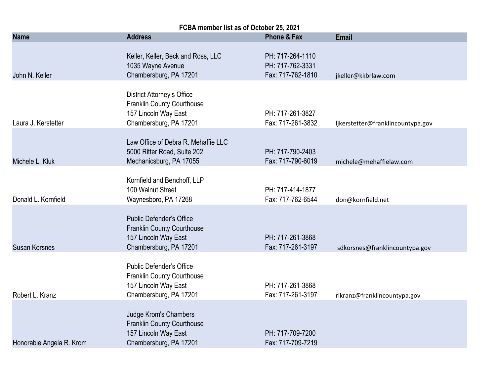| FCBA member list as of October 25, 2021 |                                                                                                                          |                                                           |                                   |  |
|-----------------------------------------|--------------------------------------------------------------------------------------------------------------------------|-----------------------------------------------------------|-----------------------------------|--|
| <b>Name</b>                             | <b>Address</b>                                                                                                           | <b>Phone &amp; Fax</b>                                    | <b>Email</b>                      |  |
| John N. Keller                          | Keller, Keller, Beck and Ross, LLC<br>1035 Wayne Avenue<br>Chambersburg, PA 17201                                        | PH: 717-264-1110<br>PH: 717-762-3331<br>Fax: 717-762-1810 | jkeller@kkbrlaw.com               |  |
| Laura J. Kerstetter                     | <b>District Attorney's Office</b><br><b>Franklin County Courthouse</b><br>157 Lincoln Way East<br>Chambersburg, PA 17201 | PH: 717-261-3827<br>Fax: 717-261-3832                     | ljkerstetter@franklincountypa.gov |  |
| Michele L. Kluk                         | Law Office of Debra R. Mehaffie LLC<br>5000 Ritter Road, Suite 202<br>Mechanicsburg, PA 17055                            | PH: 717-790-2403<br>Fax: 717-790-6019                     | michele@mehaffielaw.com           |  |
| Donald L. Kornfield                     | Kornfield and Benchoff, LLP<br>100 Walnut Street<br>Waynesboro, PA 17268                                                 | PH: 717-414-1877<br>Fax: 717-762-6544                     | don@kornfield.net                 |  |
| <b>Susan Korsnes</b>                    | <b>Public Defender's Office</b><br><b>Franklin County Courthouse</b><br>157 Lincoln Way East<br>Chambersburg, PA 17201   | PH: 717-261-3868<br>Fax: 717-261-3197                     | sdkorsnes@franklincountypa.gov    |  |
| Robert L. Kranz                         | Public Defender's Office<br><b>Franklin County Courthouse</b><br>157 Lincoln Way East<br>Chambersburg, PA 17201          | PH: 717-261-3868<br>Fax: 717-261-3197                     | rlkranz@franklincountypa.gov      |  |
| Honorable Angela R. Krom                | Judge Krom's Chambers<br><b>Franklin County Courthouse</b><br>157 Lincoln Way East<br>Chambersburg, PA 17201             | PH: 717-709-7200<br>Fax: 717-709-7219                     |                                   |  |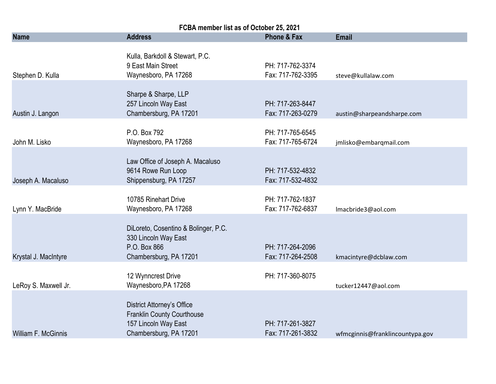| FCBA member list as of October 25, 2021 |                                                                                                                          |                                       |                                 |  |
|-----------------------------------------|--------------------------------------------------------------------------------------------------------------------------|---------------------------------------|---------------------------------|--|
| <b>Name</b>                             | <b>Address</b>                                                                                                           | <b>Phone &amp; Fax</b>                | <b>Email</b>                    |  |
| Stephen D. Kulla                        | Kulla, Barkdoll & Stewart, P.C.<br>9 East Main Street<br>Waynesboro, PA 17268                                            | PH: 717-762-3374<br>Fax: 717-762-3395 | steve@kullalaw.com              |  |
| Austin J. Langon                        | Sharpe & Sharpe, LLP<br>257 Lincoln Way East<br>Chambersburg, PA 17201                                                   | PH: 717-263-8447<br>Fax: 717-263-0279 | austin@sharpeandsharpe.com      |  |
| John M. Lisko                           | P.O. Box 792<br>Waynesboro, PA 17268                                                                                     | PH: 717-765-6545<br>Fax: 717-765-6724 | jmlisko@embarqmail.com          |  |
| Joseph A. Macaluso                      | Law Office of Joseph A. Macaluso<br>9614 Rowe Run Loop<br>Shippensburg, PA 17257                                         | PH: 717-532-4832<br>Fax: 717-532-4832 |                                 |  |
| Lynn Y. MacBride                        | 10785 Rinehart Drive<br>Waynesboro, PA 17268                                                                             | PH: 717-762-1837<br>Fax: 717-762-6837 | Imacbride3@aol.com              |  |
| Krystal J. MacIntyre                    | DiLoreto, Cosentino & Bolinger, P.C.<br>330 Lincoln Way East<br>P.O. Box 866<br>Chambersburg, PA 17201                   | PH: 717-264-2096<br>Fax: 717-264-2508 | kmacintyre@dcblaw.com           |  |
| LeRoy S. Maxwell Jr.                    | 12 Wynncrest Drive<br>Waynesboro, PA 17268                                                                               | PH: 717-360-8075                      | tucker12447@aol.com             |  |
| William F. McGinnis                     | <b>District Attorney's Office</b><br><b>Franklin County Courthouse</b><br>157 Lincoln Way East<br>Chambersburg, PA 17201 | PH: 717-261-3827<br>Fax: 717-261-3832 | wfmcginnis@franklincountypa.gov |  |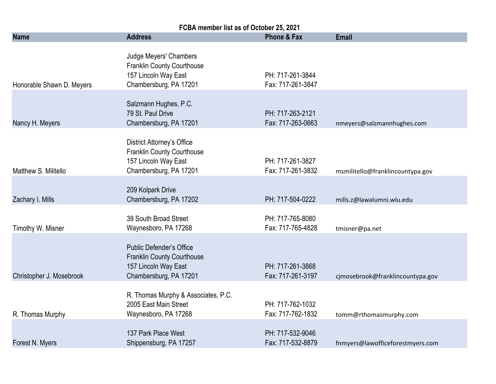| FCBA member list as of October 25, 2021 |                                                                                                                          |                                       |                                  |  |
|-----------------------------------------|--------------------------------------------------------------------------------------------------------------------------|---------------------------------------|----------------------------------|--|
| <b>Name</b>                             | <b>Address</b>                                                                                                           | <b>Phone &amp; Fax</b>                | <b>Email</b>                     |  |
| Honorable Shawn D. Meyers               | Judge Meyers' Chambers<br><b>Franklin County Courthouse</b><br>157 Lincoln Way East<br>Chambersburg, PA 17201            | PH: 717-261-3844<br>Fax: 717-261-3847 |                                  |  |
| Nancy H. Meyers                         | Salzmann Hughes, P.C.<br>79 St. Paul Drive<br>Chambersburg, PA 17201                                                     | PH: 717-263-2121<br>Fax: 717-263-0663 | nmeyers@salzmannhughes.com       |  |
| Matthew S. Militello                    | <b>District Attorney's Office</b><br><b>Franklin County Courthouse</b><br>157 Lincoln Way East<br>Chambersburg, PA 17201 | PH: 717-261-3827<br>Fax: 717-261-3832 | msmilitello@franklincountypa.gov |  |
| Zachary I. Mills                        | 209 Kolpark Drive<br>Chambersburg, PA 17202                                                                              | PH: 717-504-0222                      | mills.z@lawalumni.wlu.edu        |  |
| Timothy W. Misner                       | 39 South Broad Street<br>Waynesboro, PA 17268                                                                            | PH: 717-765-8080<br>Fax: 717-765-4828 | tmisner@pa.net                   |  |
| Christopher J. Mosebrook                | <b>Public Defender's Office</b><br><b>Franklin County Courthouse</b><br>157 Lincoln Way East<br>Chambersburg, PA 17201   | PH: 717-261-3868<br>Fax: 717-261-3197 | cjmosebrook@franklincountypa.gov |  |
| R. Thomas Murphy                        | R. Thomas Murphy & Associates, P.C.<br>2005 East Main Street<br>Waynesboro, PA 17268                                     | PH: 717-762-1032<br>Fax: 717-762-1832 | tomm@rthomasmurphy.com           |  |
| Forest N. Myers                         | 137 Park Place West<br>Shippensburg, PA 17257                                                                            | PH: 717-532-9046<br>Fax: 717-532-8879 | fnmyers@lawofficeforestmyers.com |  |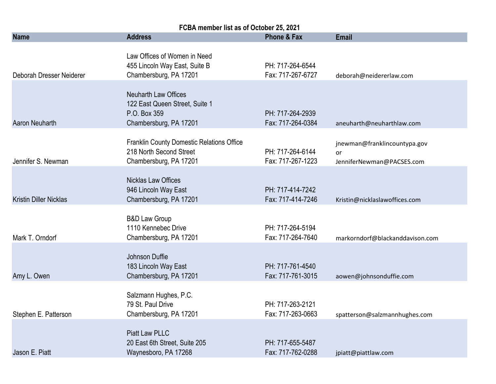| FCBA member list as of October 25, 2021 |                                                                                                         |                                       |                                                                 |  |
|-----------------------------------------|---------------------------------------------------------------------------------------------------------|---------------------------------------|-----------------------------------------------------------------|--|
| <b>Name</b>                             | <b>Address</b>                                                                                          | <b>Phone &amp; Fax</b>                | <b>Email</b>                                                    |  |
| Deborah Dresser Neiderer                | Law Offices of Women in Need<br>455 Lincoln Way East, Suite B<br>Chambersburg, PA 17201                 | PH: 717-264-6544<br>Fax: 717-267-6727 | deborah@neidererlaw.com                                         |  |
| Aaron Neuharth                          | <b>Neuharth Law Offices</b><br>122 East Queen Street, Suite 1<br>P.O. Box 359<br>Chambersburg, PA 17201 | PH: 717-264-2939<br>Fax: 717-264-0384 | aneuharth@neuharthlaw.com                                       |  |
| Jennifer S. Newman                      | <b>Franklin County Domestic Relations Office</b><br>218 North Second Street<br>Chambersburg, PA 17201   | PH: 717-264-6144<br>Fax: 717-267-1223 | jnewman@franklincountypa.gov<br>or<br>JenniferNewman@PACSES.com |  |
| <b>Kristin Diller Nicklas</b>           | <b>Nicklas Law Offices</b><br>946 Lincoln Way East<br>Chambersburg, PA 17201                            | PH: 717-414-7242<br>Fax: 717-414-7246 | Kristin@nicklaslawoffices.com                                   |  |
| Mark T. Orndorf                         | <b>B&amp;D Law Group</b><br>1110 Kennebec Drive<br>Chambersburg, PA 17201                               | PH: 717-264-5194<br>Fax: 717-264-7640 | markorndorf@blackanddavison.com                                 |  |
| Amy L. Owen                             | Johnson Duffie<br>183 Lincoln Way East<br>Chambersburg, PA 17201                                        | PH: 717-761-4540<br>Fax: 717-761-3015 | aowen@johnsonduffie.com                                         |  |
| Stephen E. Patterson                    | Salzmann Hughes, P.C.<br>79 St. Paul Drive<br>Chambersburg, PA 17201                                    | PH: 717-263-2121<br>Fax: 717-263-0663 | spatterson@salzmannhughes.com                                   |  |
| Jason E. Piatt                          | <b>Piatt Law PLLC</b><br>20 East 6th Street, Suite 205<br>Waynesboro, PA 17268                          | PH: 717-655-5487<br>Fax: 717-762-0288 | jpiatt@piattlaw.com                                             |  |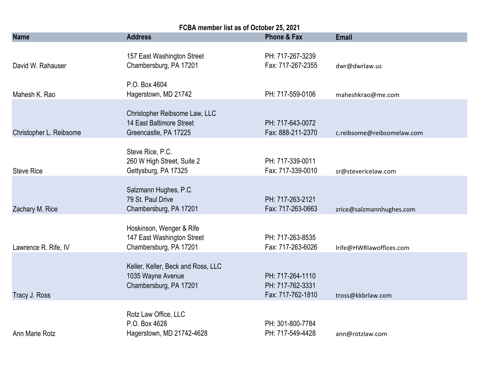| FCBA member list as of October 25, 2021 |                                                                                    |                                                           |                            |  |
|-----------------------------------------|------------------------------------------------------------------------------------|-----------------------------------------------------------|----------------------------|--|
| <b>Name</b>                             | <b>Address</b>                                                                     | <b>Phone &amp; Fax</b>                                    | <b>Email</b>               |  |
| David W. Rahauser                       | 157 East Washington Street<br>Chambersburg, PA 17201                               | PH: 717-267-3239<br>Fax: 717-267-2355                     | dwr@dwrlaw.us              |  |
| Mahesh K. Rao                           | P.O. Box 4604<br>Hagerstown, MD 21742                                              | PH: 717-559-0106                                          | maheshkrao@me.com          |  |
| Christopher L. Reibsome                 | Christopher Reibsome Law, LLC<br>14 East Baltimore Street<br>Greencastle, PA 17225 | PH: 717-643-0072<br>Fax: 888-211-2370                     | c.reibsome@reibsomelaw.com |  |
| <b>Steve Rice</b>                       | Steve Rice, P.C.<br>260 W High Street, Suite 2<br>Gettysburg, PA 17325             | PH: 717-339-0011<br>Fax: 717-339-0010                     | sr@stevericelaw.com        |  |
| Zachary M. Rice                         | Salzmann Hughes, P.C.<br>79 St. Paul Drive<br>Chambersburg, PA 17201               | PH: 717-263-2121<br>Fax: 717-263-0663                     | zrice@salzmannhughes.com   |  |
| Lawrence R. Rife, IV                    | Hoskinson, Wenger & Rife<br>147 East Washington Street<br>Chambersburg, PA 17201   | PH: 717-263-8535<br>Fax: 717-263-6026                     | Irife@HWRlawoffices.com    |  |
| Tracy J. Ross                           | Keller, Keller, Beck and Ross, LLC<br>1035 Wayne Avenue<br>Chambersburg, PA 17201  | PH: 717-264-1110<br>PH: 717-762-3331<br>Fax: 717-762-1810 | tross@kkbrlaw.com          |  |
| Ann Marie Rotz                          | Rotz Law Office, LLC<br>P.O. Box 4628<br>Hagerstown, MD 21742-4628                 | PH: 301-800-7784<br>PH: 717-549-4428                      | ann@rotzlaw.com            |  |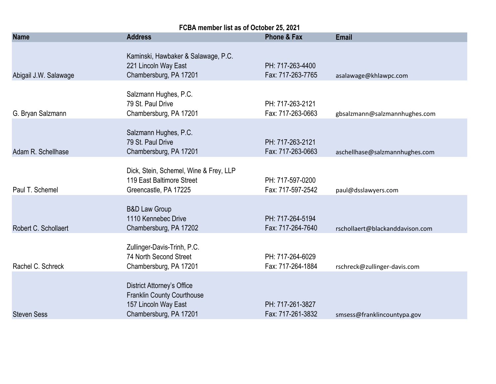| FCBA member list as of October 25, 2021 |                                                                                                                          |                                       |                                 |  |
|-----------------------------------------|--------------------------------------------------------------------------------------------------------------------------|---------------------------------------|---------------------------------|--|
| <b>Name</b>                             | <b>Address</b>                                                                                                           | Phone & Fax                           | <b>Email</b>                    |  |
| Abigail J.W. Salawage                   | Kaminski, Hawbaker & Salawage, P.C.<br>221 Lincoln Way East<br>Chambersburg, PA 17201                                    | PH: 717-263-4400<br>Fax: 717-263-7765 | asalawage@khlawpc.com           |  |
| G. Bryan Salzmann                       | Salzmann Hughes, P.C.<br>79 St. Paul Drive<br>Chambersburg, PA 17201                                                     | PH: 717-263-2121<br>Fax: 717-263-0663 | gbsalzmann@salzmannhughes.com   |  |
| Adam R. Schellhase                      | Salzmann Hughes, P.C.<br>79 St. Paul Drive<br>Chambersburg, PA 17201                                                     | PH: 717-263-2121<br>Fax: 717-263-0663 | aschellhase@salzmannhughes.com  |  |
| Paul T. Schemel                         | Dick, Stein, Schemel, Wine & Frey, LLP<br>119 East Baltimore Street<br>Greencastle, PA 17225                             | PH: 717-597-0200<br>Fax: 717-597-2542 | paul@dsslawyers.com             |  |
| Robert C. Schollaert                    | <b>B&amp;D Law Group</b><br>1110 Kennebec Drive<br>Chambersburg, PA 17202                                                | PH: 717-264-5194<br>Fax: 717-264-7640 | rschollaert@blackanddavison.com |  |
| Rachel C. Schreck                       | Zullinger-Davis-Trinh, P.C.<br>74 North Second Street<br>Chambersburg, PA 17201                                          | PH: 717-264-6029<br>Fax: 717-264-1884 | rschreck@zullinger-davis.com    |  |
| <b>Steven Sess</b>                      | <b>District Attorney's Office</b><br><b>Franklin County Courthouse</b><br>157 Lincoln Way East<br>Chambersburg, PA 17201 | PH: 717-261-3827<br>Fax: 717-261-3832 | smsess@franklincountypa.gov     |  |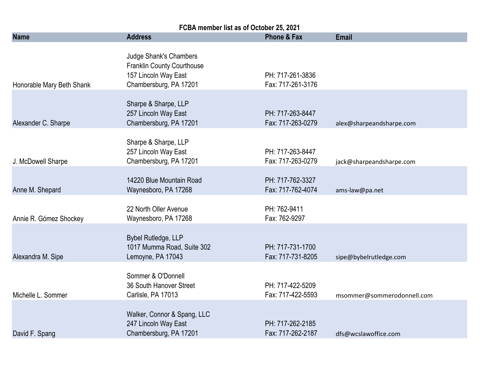| FCBA member list as of October 25, 2021 |                                                                                                                      |                                       |                            |  |
|-----------------------------------------|----------------------------------------------------------------------------------------------------------------------|---------------------------------------|----------------------------|--|
| <b>Name</b>                             | <b>Address</b>                                                                                                       | <b>Phone &amp; Fax</b>                | <b>Email</b>               |  |
| Honorable Mary Beth Shank               | <b>Judge Shank's Chambers</b><br><b>Franklin County Courthouse</b><br>157 Lincoln Way East<br>Chambersburg, PA 17201 | PH: 717-261-3836<br>Fax: 717-261-3176 |                            |  |
| Alexander C. Sharpe                     | Sharpe & Sharpe, LLP<br>257 Lincoln Way East<br>Chambersburg, PA 17201                                               | PH: 717-263-8447<br>Fax: 717-263-0279 | alex@sharpeandsharpe.com   |  |
| J. McDowell Sharpe                      | Sharpe & Sharpe, LLP<br>257 Lincoln Way East<br>Chambersburg, PA 17201                                               | PH: 717-263-8447<br>Fax: 717-263-0279 | jack@sharpeandsharpe.com   |  |
| Anne M. Shepard                         | 14220 Blue Mountain Road<br>Waynesboro, PA 17268                                                                     | PH: 717-762-3327<br>Fax: 717-762-4074 | ams-law@pa.net             |  |
| Annie R. Gómez Shockey                  | 22 North Oller Avenue<br>Waynesboro, PA 17268                                                                        | PH: 762-9411<br>Fax: 762-9297         |                            |  |
| Alexandra M. Sipe                       | Bybel Rutledge, LLP<br>1017 Mumma Road, Suite 302<br>Lemoyne, PA 17043                                               | PH: 717-731-1700<br>Fax: 717-731-8205 | sipe@bybelrutledge.com     |  |
| Michelle L. Sommer                      | Sommer & O'Donnell<br>36 South Hanover Street<br>Carlisle, PA 17013                                                  | PH: 717-422-5209<br>Fax: 717-422-5593 | msommer@sommerodonnell.com |  |
| David F. Spang                          | Walker, Connor & Spang, LLC<br>247 Lincoln Way East<br>Chambersburg, PA 17201                                        | PH: 717-262-2185<br>Fax: 717-262-2187 | dfs@wcslawoffice.com       |  |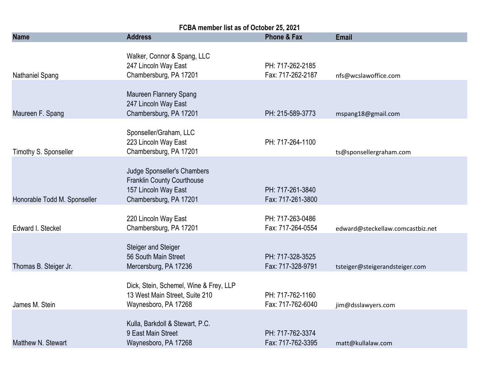| FCBA member list as of October 25, 2021 |                                                                                                                    |                                       |                                  |  |
|-----------------------------------------|--------------------------------------------------------------------------------------------------------------------|---------------------------------------|----------------------------------|--|
| <b>Name</b>                             | <b>Address</b>                                                                                                     | Phone & Fax                           | <b>Email</b>                     |  |
| Nathaniel Spang                         | Walker, Connor & Spang, LLC<br>247 Lincoln Way East<br>Chambersburg, PA 17201                                      | PH: 717-262-2185<br>Fax: 717-262-2187 | nfs@wcslawoffice.com             |  |
| Maureen F. Spang                        | Maureen Flannery Spang<br>247 Lincoln Way East<br>Chambersburg, PA 17201                                           | PH: 215-589-3773                      | mspang18@gmail.com               |  |
| Timothy S. Sponseller                   | Sponseller/Graham, LLC<br>223 Lincoln Way East<br>Chambersburg, PA 17201                                           | PH: 717-264-1100                      | ts@sponsellergraham.com          |  |
| Honorable Todd M. Sponseller            | Judge Sponseller's Chambers<br><b>Franklin County Courthouse</b><br>157 Lincoln Way East<br>Chambersburg, PA 17201 | PH: 717-261-3840<br>Fax: 717-261-3800 |                                  |  |
| Edward I. Steckel                       | 220 Lincoln Way East<br>Chambersburg, PA 17201                                                                     | PH: 717-263-0486<br>Fax: 717-264-0554 | edward@steckellaw.comcastbiz.net |  |
| Thomas B. Steiger Jr.                   | <b>Steiger and Steiger</b><br>56 South Main Street<br>Mercersburg, PA 17236                                        | PH: 717-328-3525<br>Fax: 717-328-9791 | tsteiger@steigerandsteiger.com   |  |
| James M. Stein                          | Dick, Stein, Schemel, Wine & Frey, LLP<br>13 West Main Street, Suite 210<br>Waynesboro, PA 17268                   | PH: 717-762-1160<br>Fax: 717-762-6040 | jim@dsslawyers.com               |  |
| Matthew N. Stewart                      | Kulla, Barkdoll & Stewart, P.C.<br>9 East Main Street<br>Waynesboro, PA 17268                                      | PH: 717-762-3374<br>Fax: 717-762-3395 | matt@kullalaw.com                |  |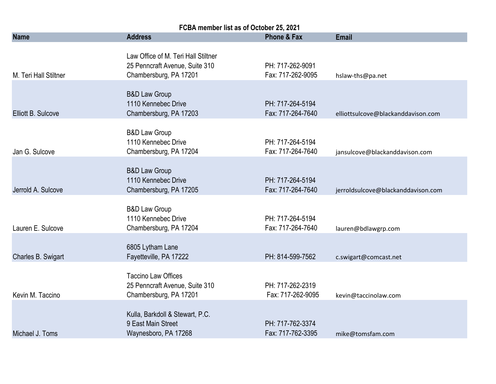| FCBA member list as of October 25, 2021 |                                                                                                 |                                       |                                    |  |
|-----------------------------------------|-------------------------------------------------------------------------------------------------|---------------------------------------|------------------------------------|--|
| <b>Name</b>                             | <b>Address</b>                                                                                  | <b>Phone &amp; Fax</b>                | <b>Email</b>                       |  |
| M. Teri Hall Stiltner                   | Law Office of M. Teri Hall Stiltner<br>25 Penncraft Avenue, Suite 310<br>Chambersburg, PA 17201 | PH: 717-262-9091<br>Fax: 717-262-9095 | hslaw-ths@pa.net                   |  |
| Elliott B. Sulcove                      | <b>B&amp;D Law Group</b><br>1110 Kennebec Drive<br>Chambersburg, PA 17203                       | PH: 717-264-5194<br>Fax: 717-264-7640 | elliottsulcove@blackanddavison.com |  |
| Jan G. Sulcove                          | <b>B&amp;D Law Group</b><br>1110 Kennebec Drive<br>Chambersburg, PA 17204                       | PH: 717-264-5194<br>Fax: 717-264-7640 | jansulcove@blackanddavison.com     |  |
| Jerrold A. Sulcove                      | <b>B&amp;D Law Group</b><br>1110 Kennebec Drive<br>Chambersburg, PA 17205                       | PH: 717-264-5194<br>Fax: 717-264-7640 | jerroldsulcove@blackanddavison.com |  |
| Lauren E. Sulcove                       | <b>B&amp;D Law Group</b><br>1110 Kennebec Drive<br>Chambersburg, PA 17204                       | PH: 717-264-5194<br>Fax: 717-264-7640 | lauren@bdlawgrp.com                |  |
| Charles B. Swigart                      | 6805 Lytham Lane<br>Fayetteville, PA 17222                                                      | PH: 814-599-7562                      | c.swigart@comcast.net              |  |
| Kevin M. Taccino                        | <b>Taccino Law Offices</b><br>25 Penncraft Avenue, Suite 310<br>Chambersburg, PA 17201          | PH: 717-262-2319<br>Fax: 717-262-9095 | kevin@taccinolaw.com               |  |
| Michael J. Toms                         | Kulla, Barkdoll & Stewart, P.C.<br>9 East Main Street<br>Waynesboro, PA 17268                   | PH: 717-762-3374<br>Fax: 717-762-3395 | mike@tomsfam.com                   |  |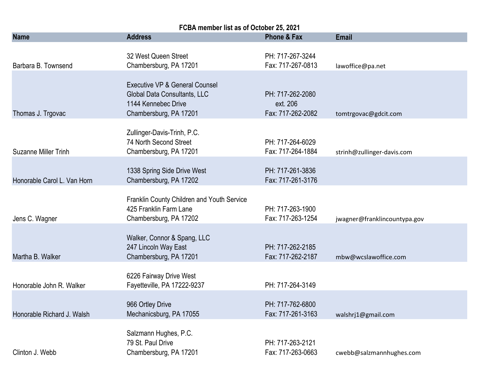| FCBA member list as of October 25, 2021 |                                                                                                                 |                                                   |                              |  |
|-----------------------------------------|-----------------------------------------------------------------------------------------------------------------|---------------------------------------------------|------------------------------|--|
| <b>Name</b>                             | <b>Address</b>                                                                                                  | <b>Phone &amp; Fax</b>                            | <b>Email</b>                 |  |
| Barbara B. Townsend                     | 32 West Queen Street<br>Chambersburg, PA 17201                                                                  | PH: 717-267-3244<br>Fax: 717-267-0813             | lawoffice@pa.net             |  |
| Thomas J. Trgovac                       | Executive VP & General Counsel<br>Global Data Consultants, LLC<br>1144 Kennebec Drive<br>Chambersburg, PA 17201 | PH: 717-262-2080<br>ext. 206<br>Fax: 717-262-2082 | tomtrgovac@gdcit.com         |  |
| <b>Suzanne Miller Trinh</b>             | Zullinger-Davis-Trinh, P.C.<br>74 North Second Street<br>Chambersburg, PA 17201                                 | PH: 717-264-6029<br>Fax: 717-264-1884             | strinh@zullinger-davis.com   |  |
| Honorable Carol L. Van Horn             | 1338 Spring Side Drive West<br>Chambersburg, PA 17202                                                           | PH: 717-261-3836<br>Fax: 717-261-3176             |                              |  |
| Jens C. Wagner                          | Franklin County Children and Youth Service<br>425 Franklin Farm Lane<br>Chambersburg, PA 17202                  | PH: 717-263-1900<br>Fax: 717-263-1254             | jwagner@franklincountypa.gov |  |
| Martha B. Walker                        | Walker, Connor & Spang, LLC<br>247 Lincoln Way East<br>Chambersburg, PA 17201                                   | PH: 717-262-2185<br>Fax: 717-262-2187             | mbw@wcslawoffice.com         |  |
| Honorable John R. Walker                | 6226 Fairway Drive West<br>Fayetteville, PA 17222-9237                                                          | PH: 717-264-3149                                  |                              |  |
| Honorable Richard J. Walsh              | 966 Ortley Drive<br>Mechanicsburg, PA 17055                                                                     | PH: 717-762-6800<br>Fax: 717-261-3163             | walshrj1@gmail.com           |  |
| Clinton J. Webb                         | Salzmann Hughes, P.C.<br>79 St. Paul Drive<br>Chambersburg, PA 17201                                            | PH: 717-263-2121<br>Fax: 717-263-0663             | cwebb@salzmannhughes.com     |  |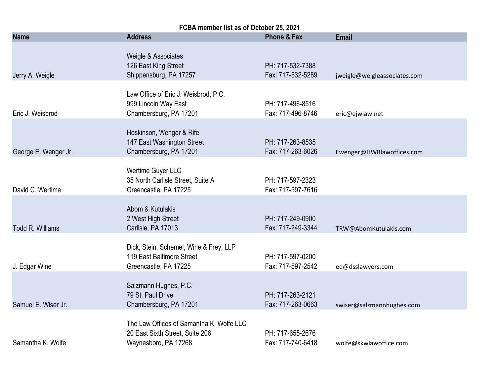| FCBA member list as of October 25, 2021 |                                                                                                     |                                       |                              |
|-----------------------------------------|-----------------------------------------------------------------------------------------------------|---------------------------------------|------------------------------|
| <b>Name</b>                             | <b>Address</b>                                                                                      | <b>Phone &amp; Fax</b>                | <b>Email</b>                 |
| Jerry A. Weigle                         | Weigle & Associates<br>126 East King Street<br>Shippensburg, PA 17257                               | PH: 717-532-7388<br>Fax: 717-532-5289 | jweigle@weigleassociates.com |
| Eric J. Weisbrod                        | Law Office of Eric J. Weisbrod, P.C.<br>999 Lincoln Way East<br>Chambersburg, PA 17201              | PH: 717-496-8516<br>Fax: 717-496-8746 | eric@ejwlaw.net              |
| George E. Wenger Jr.                    | Hoskinson, Wenger & Rife<br>147 East Washington Street<br>Chambersburg, PA 17201                    | PH: 717-263-8535<br>Fax: 717-263-6026 | Ewenger@HWRlawoffices.com    |
| David C. Wertime                        | Wertime Guyer LLC<br>35 North Carlisle Street, Suite A<br>Greencastle, PA 17225                     | PH: 717-597-2323<br>Fax: 717-597-7616 |                              |
| <b>Todd R. Williams</b>                 | Abom & Kutulakis<br>2 West High Street<br>Carlisle, PA 17013                                        | PH: 717-249-0900<br>Fax: 717-249-3344 | TRW@AbomKutulakis.com        |
| J. Edgar Wine                           | Dick, Stein, Schemel, Wine & Frey, LLP<br>119 East Baltimore Street<br>Greencastle, PA 17225        | PH: 717-597-0200<br>Fax: 717-597-2542 | ed@dsslawyers.com            |
| Samuel E. Wiser Jr.                     | Salzmann Hughes, P.C.<br>79 St. Paul Drive<br>Chambersburg, PA 17201                                | PH: 717-263-2121<br>Fax: 717-263-0663 | swiser@salzmannhughes.com    |
| Samantha K. Wolfe                       | The Law Offices of Samantha K. Wolfe LLC<br>20 East Sixth Street, Suite 206<br>Waynesboro, PA 17268 | PH: 717-655-2676<br>Fax: 717-740-6418 | wolfe@skwlawoffice.com       |